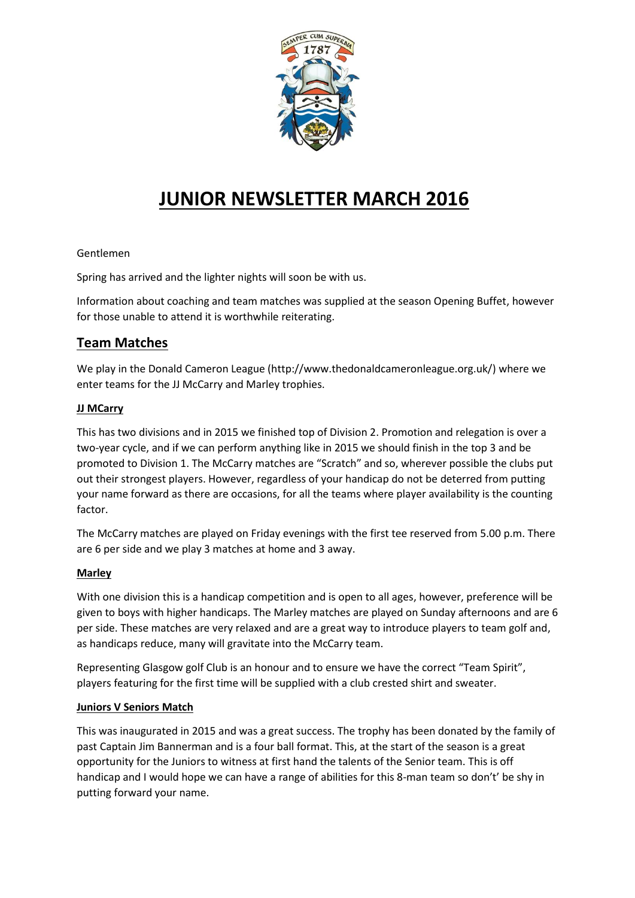

# **JUNIOR NEWSLETTER MARCH 2016**

#### Gentlemen

Spring has arrived and the lighter nights will soon be with us.

Information about coaching and team matches was supplied at the season Opening Buffet, however for those unable to attend it is worthwhile reiterating.

# **Team Matches**

We play in the Donald Cameron League (http://www.thedonaldcameronleague.org.uk/) where we enter teams for the JJ McCarry and Marley trophies.

#### **JJ MCarry**

This has two divisions and in 2015 we finished top of Division 2. Promotion and relegation is over a two-year cycle, and if we can perform anything like in 2015 we should finish in the top 3 and be promoted to Division 1. The McCarry matches are "Scratch" and so, wherever possible the clubs put out their strongest players. However, regardless of your handicap do not be deterred from putting your name forward as there are occasions, for all the teams where player availability is the counting factor.

The McCarry matches are played on Friday evenings with the first tee reserved from 5.00 p.m. There are 6 per side and we play 3 matches at home and 3 away.

#### **Marley**

With one division this is a handicap competition and is open to all ages, however, preference will be given to boys with higher handicaps. The Marley matches are played on Sunday afternoons and are 6 per side. These matches are very relaxed and are a great way to introduce players to team golf and, as handicaps reduce, many will gravitate into the McCarry team.

Representing Glasgow golf Club is an honour and to ensure we have the correct "Team Spirit", players featuring for the first time will be supplied with a club crested shirt and sweater.

#### **Juniors V Seniors Match**

This was inaugurated in 2015 and was a great success. The trophy has been donated by the family of past Captain Jim Bannerman and is a four ball format. This, at the start of the season is a great opportunity for the Juniors to witness at first hand the talents of the Senior team. This is off handicap and I would hope we can have a range of abilities for this 8-man team so don't' be shy in putting forward your name.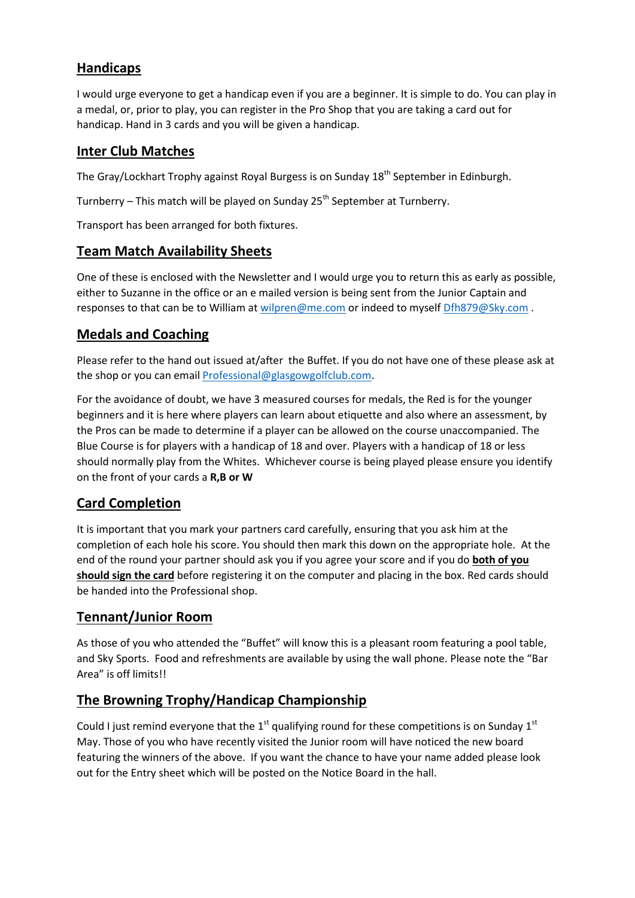# **Handicaps**

I would urge everyone to get a handicap even if you are a beginner. It is simple to do. You can play in a medal, or, prior to play, you can register in the Pro Shop that you are taking a card out for handicap. Hand in 3 cards and you will be given a handicap.

# **Inter Club Matches**

The Gray/Lockhart Trophy against Royal Burgess is on Sunday 18<sup>th</sup> September in Edinburgh.

Turnberry – This match will be played on Sunday  $25<sup>th</sup>$  September at Turnberry.

Transport has been arranged for both fixtures.

# **Team Match Availability Sheets**

One of these is enclosed with the Newsletter and I would urge you to return this as early as possible, either to Suzanne in the office or an e mailed version is being sent from the Junior Captain and responses to that can be to William at [wilpren@me.com](mailto:wilpren@me.com) or indeed to myself [Dfh879@Sky.com](mailto:Dfh879@Sky.com).

# **Medals and Coaching**

Please refer to the hand out issued at/after the Buffet. If you do not have one of these please ask at the shop or you can email **Professional@glasgowgolfclub.com**.

For the avoidance of doubt, we have 3 measured courses for medals, the Red is for the younger beginners and it is here where players can learn about etiquette and also where an assessment, by the Pros can be made to determine if a player can be allowed on the course unaccompanied. The Blue Course is for players with a handicap of 18 and over. Players with a handicap of 18 or less should normally play from the Whites. Whichever course is being played please ensure you identify on the front of your cards a **R,B or W**

# **Card Completion**

It is important that you mark your partners card carefully, ensuring that you ask him at the completion of each hole his score. You should then mark this down on the appropriate hole. At the end of the round your partner should ask you if you agree your score and if you do **both of you should sign the card** before registering it on the computer and placing in the box. Red cards should be handed into the Professional shop.

# **Tennant/Junior Room**

As those of you who attended the "Buffet" will know this is a pleasant room featuring a pool table, and Sky Sports. Food and refreshments are available by using the wall phone. Please note the "Bar Area" is off limits!!

# **The Browning Trophy/Handicap Championship**

Could I just remind everyone that the  $1<sup>st</sup>$  qualifying round for these competitions is on Sunday  $1<sup>st</sup>$ May. Those of you who have recently visited the Junior room will have noticed the new board featuring the winners of the above. If you want the chance to have your name added please look out for the Entry sheet which will be posted on the Notice Board in the hall.